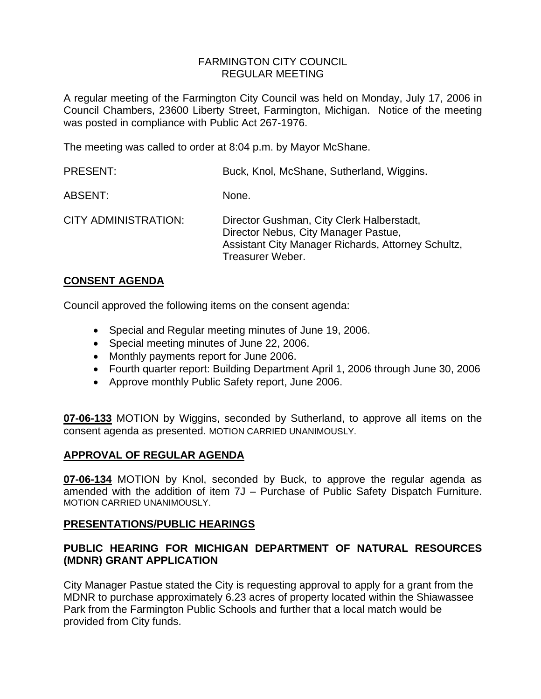## FARMINGTON CITY COUNCIL REGULAR MEETING

A regular meeting of the Farmington City Council was held on Monday, July 17, 2006 in Council Chambers, 23600 Liberty Street, Farmington, Michigan. Notice of the meeting was posted in compliance with Public Act 267-1976.

The meeting was called to order at 8:04 p.m. by Mayor McShane.

| <b>PRESENT:</b>             | Buck, Knol, McShane, Sutherland, Wiggins.                                                                                                                   |
|-----------------------------|-------------------------------------------------------------------------------------------------------------------------------------------------------------|
| ABSENT:                     | None.                                                                                                                                                       |
| <b>CITY ADMINISTRATION:</b> | Director Gushman, City Clerk Halberstadt,<br>Director Nebus, City Manager Pastue,<br>Assistant City Manager Richards, Attorney Schultz,<br>Treasurer Weber. |

## **CONSENT AGENDA**

Council approved the following items on the consent agenda:

- Special and Regular meeting minutes of June 19, 2006.
- Special meeting minutes of June 22, 2006.
- Monthly payments report for June 2006.
- Fourth quarter report: Building Department April 1, 2006 through June 30, 2006
- Approve monthly Public Safety report, June 2006.

**07-06-133** MOTION by Wiggins, seconded by Sutherland, to approve all items on the consent agenda as presented. MOTION CARRIED UNANIMOUSLY.

## **APPROVAL OF REGULAR AGENDA**

**07-06-134** MOTION by Knol, seconded by Buck, to approve the regular agenda as amended with the addition of item 7J – Purchase of Public Safety Dispatch Furniture. MOTION CARRIED UNANIMOUSLY.

## **PRESENTATIONS/PUBLIC HEARINGS**

## **PUBLIC HEARING FOR MICHIGAN DEPARTMENT OF NATURAL RESOURCES (MDNR) GRANT APPLICATION**

City Manager Pastue stated the City is requesting approval to apply for a grant from the MDNR to purchase approximately 6.23 acres of property located within the Shiawassee Park from the Farmington Public Schools and further that a local match would be provided from City funds.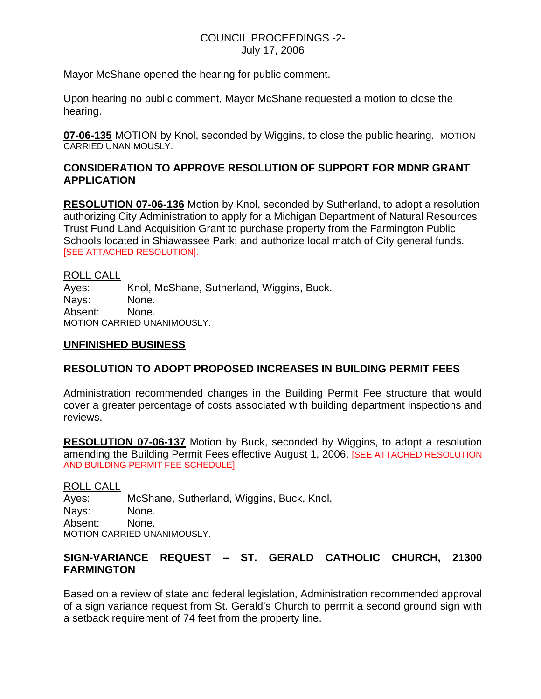### COUNCIL PROCEEDINGS -2- July 17, 2006

Mayor McShane opened the hearing for public comment.

Upon hearing no public comment, Mayor McShane requested a motion to close the hearing.

**07-06-135** MOTION by Knol, seconded by Wiggins, to close the public hearing. MOTION CARRIED UNANIMOUSLY.

## **CONSIDERATION TO APPROVE RESOLUTION OF SUPPORT FOR MDNR GRANT APPLICATION**

**RESOLUTION 07-06-136** Motion by Knol, seconded by Sutherland, to adopt a resolution authorizing City Administration to apply for a Michigan Department of Natural Resources Trust Fund Land Acquisition Grant to purchase property from the Farmington Public Schools located in Shiawassee Park; and authorize local match of City general funds. [SEE ATTACHED RESOLUTION].

ROLL CALL Ayes: Knol, McShane, Sutherland, Wiggins, Buck. Nays: None. Absent: None. MOTION CARRIED UNANIMOUSLY.

#### **UNFINISHED BUSINESS**

## **RESOLUTION TO ADOPT PROPOSED INCREASES IN BUILDING PERMIT FEES**

Administration recommended changes in the Building Permit Fee structure that would cover a greater percentage of costs associated with building department inspections and reviews.

**RESOLUTION 07-06-137** Motion by Buck, seconded by Wiggins, to adopt a resolution amending the Building Permit Fees effective August 1, 2006. [SEE ATTACHED RESOLUTION AND BUILDING PERMIT FEE SCHEDULE].

ROLL CALL Ayes: McShane, Sutherland, Wiggins, Buck, Knol. Nays: None. Absent: None. MOTION CARRIED UNANIMOUSLY.

## **SIGN-VARIANCE REQUEST – ST. GERALD CATHOLIC CHURCH, 21300 FARMINGTON**

Based on a review of state and federal legislation, Administration recommended approval of a sign variance request from St. Gerald's Church to permit a second ground sign with a setback requirement of 74 feet from the property line.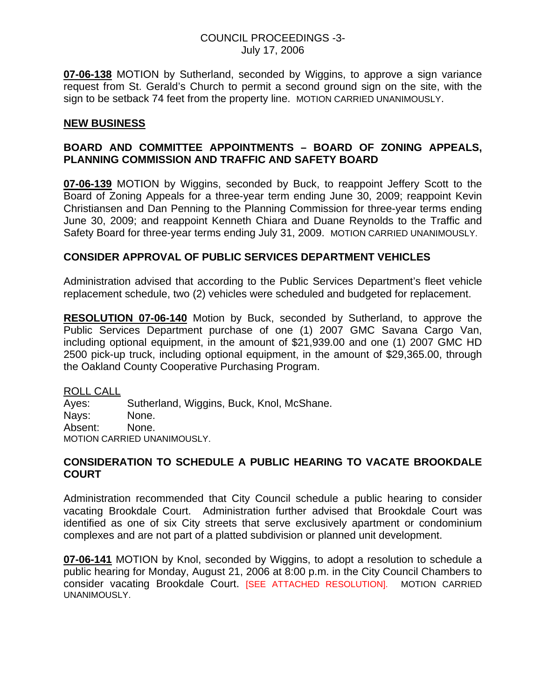### COUNCIL PROCEEDINGS -3- July 17, 2006

**07-06-138** MOTION by Sutherland, seconded by Wiggins, to approve a sign variance request from St. Gerald's Church to permit a second ground sign on the site, with the sign to be setback 74 feet from the property line. MOTION CARRIED UNANIMOUSLY.

### **NEW BUSINESS**

## **BOARD AND COMMITTEE APPOINTMENTS – BOARD OF ZONING APPEALS, PLANNING COMMISSION AND TRAFFIC AND SAFETY BOARD**

**07-06-139** MOTION by Wiggins, seconded by Buck, to reappoint Jeffery Scott to the Board of Zoning Appeals for a three-year term ending June 30, 2009; reappoint Kevin Christiansen and Dan Penning to the Planning Commission for three-year terms ending June 30, 2009; and reappoint Kenneth Chiara and Duane Reynolds to the Traffic and Safety Board for three-year terms ending July 31, 2009. MOTION CARRIED UNANIMOUSLY.

## **CONSIDER APPROVAL OF PUBLIC SERVICES DEPARTMENT VEHICLES**

Administration advised that according to the Public Services Department's fleet vehicle replacement schedule, two (2) vehicles were scheduled and budgeted for replacement.

**RESOLUTION 07-06-140** Motion by Buck, seconded by Sutherland, to approve the Public Services Department purchase of one (1) 2007 GMC Savana Cargo Van, including optional equipment, in the amount of \$21,939.00 and one (1) 2007 GMC HD 2500 pick-up truck, including optional equipment, in the amount of \$29,365.00, through the Oakland County Cooperative Purchasing Program.

ROLL CALL

Ayes: Sutherland, Wiggins, Buck, Knol, McShane. Nays: None. Absent: None. MOTION CARRIED UNANIMOUSLY.

#### **CONSIDERATION TO SCHEDULE A PUBLIC HEARING TO VACATE BROOKDALE COURT**

Administration recommended that City Council schedule a public hearing to consider vacating Brookdale Court. Administration further advised that Brookdale Court was identified as one of six City streets that serve exclusively apartment or condominium complexes and are not part of a platted subdivision or planned unit development.

**07-06-141** MOTION by Knol, seconded by Wiggins, to adopt a resolution to schedule a public hearing for Monday, August 21, 2006 at 8:00 p.m. in the City Council Chambers to consider vacating Brookdale Court. [SEE ATTACHED RESOLUTION]. MOTION CARRIED UNANIMOUSLY.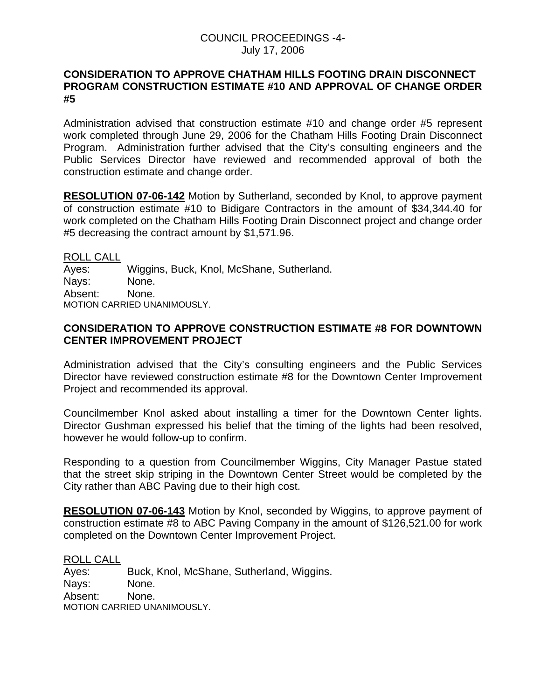### COUNCIL PROCEEDINGS -4- July 17, 2006

### **CONSIDERATION TO APPROVE CHATHAM HILLS FOOTING DRAIN DISCONNECT PROGRAM CONSTRUCTION ESTIMATE #10 AND APPROVAL OF CHANGE ORDER #5**

Administration advised that construction estimate #10 and change order #5 represent work completed through June 29, 2006 for the Chatham Hills Footing Drain Disconnect Program. Administration further advised that the City's consulting engineers and the Public Services Director have reviewed and recommended approval of both the construction estimate and change order.

**RESOLUTION 07-06-142** Motion by Sutherland, seconded by Knol, to approve payment of construction estimate #10 to Bidigare Contractors in the amount of \$34,344.40 for work completed on the Chatham Hills Footing Drain Disconnect project and change order #5 decreasing the contract amount by \$1,571.96.

ROLL CALL Ayes: Wiggins, Buck, Knol, McShane, Sutherland. Nays: None. Absent: None. MOTION CARRIED UNANIMOUSLY.

## **CONSIDERATION TO APPROVE CONSTRUCTION ESTIMATE #8 FOR DOWNTOWN CENTER IMPROVEMENT PROJECT**

Administration advised that the City's consulting engineers and the Public Services Director have reviewed construction estimate #8 for the Downtown Center Improvement Project and recommended its approval.

Councilmember Knol asked about installing a timer for the Downtown Center lights. Director Gushman expressed his belief that the timing of the lights had been resolved, however he would follow-up to confirm.

Responding to a question from Councilmember Wiggins, City Manager Pastue stated that the street skip striping in the Downtown Center Street would be completed by the City rather than ABC Paving due to their high cost.

**RESOLUTION 07-06-143** Motion by Knol, seconded by Wiggins, to approve payment of construction estimate #8 to ABC Paving Company in the amount of \$126,521.00 for work completed on the Downtown Center Improvement Project.

ROLL CALL

Ayes: Buck, Knol, McShane, Sutherland, Wiggins. Nays: None. Absent: None. MOTION CARRIED UNANIMOUSLY.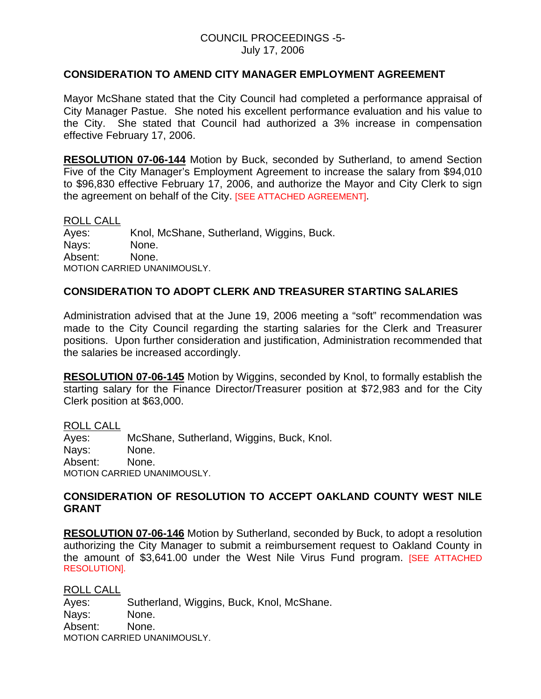#### COUNCIL PROCEEDINGS -5- July 17, 2006

#### **CONSIDERATION TO AMEND CITY MANAGER EMPLOYMENT AGREEMENT**

Mayor McShane stated that the City Council had completed a performance appraisal of City Manager Pastue. She noted his excellent performance evaluation and his value to the City. She stated that Council had authorized a 3% increase in compensation effective February 17, 2006.

**RESOLUTION 07-06-144** Motion by Buck, seconded by Sutherland, to amend Section Five of the City Manager's Employment Agreement to increase the salary from \$94,010 to \$96,830 effective February 17, 2006, and authorize the Mayor and City Clerk to sign the agreement on behalf of the City. [SEE ATTACHED AGREEMENT].

#### ROLL CALL

Ayes: Knol, McShane, Sutherland, Wiggins, Buck. Nays: None. Absent: None. MOTION CARRIED UNANIMOUSLY.

## **CONSIDERATION TO ADOPT CLERK AND TREASURER STARTING SALARIES**

Administration advised that at the June 19, 2006 meeting a "soft" recommendation was made to the City Council regarding the starting salaries for the Clerk and Treasurer positions. Upon further consideration and justification, Administration recommended that the salaries be increased accordingly.

**RESOLUTION 07-06-145** Motion by Wiggins, seconded by Knol, to formally establish the starting salary for the Finance Director/Treasurer position at \$72,983 and for the City Clerk position at \$63,000.

ROLL CALL

Ayes: McShane, Sutherland, Wiggins, Buck, Knol. Nays: None. Absent: None. MOTION CARRIED UNANIMOUSLY.

#### **CONSIDERATION OF RESOLUTION TO ACCEPT OAKLAND COUNTY WEST NILE GRANT**

**RESOLUTION 07-06-146** Motion by Sutherland, seconded by Buck, to adopt a resolution authorizing the City Manager to submit a reimbursement request to Oakland County in the amount of \$3,641.00 under the West Nile Virus Fund program. [SEE ATTACHED RESOLUTION].

ROLL CALL Ayes: Sutherland, Wiggins, Buck, Knol, McShane. Nays: None. Absent: None. MOTION CARRIED UNANIMOUSLY.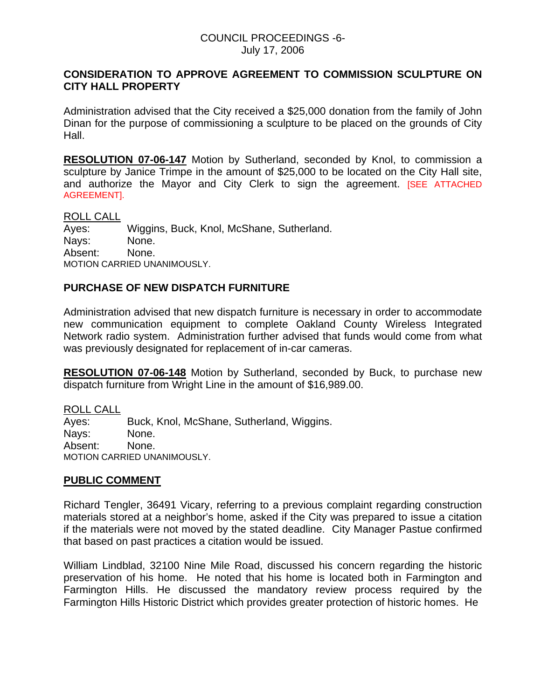#### COUNCIL PROCEEDINGS -6- July 17, 2006

## **CONSIDERATION TO APPROVE AGREEMENT TO COMMISSION SCULPTURE ON CITY HALL PROPERTY**

Administration advised that the City received a \$25,000 donation from the family of John Dinan for the purpose of commissioning a sculpture to be placed on the grounds of City Hall.

**RESOLUTION 07-06-147** Motion by Sutherland, seconded by Knol, to commission a sculpture by Janice Trimpe in the amount of \$25,000 to be located on the City Hall site, and authorize the Mayor and City Clerk to sign the agreement. [SEE ATTACHED AGREEMENT].

ROLL CALL

Ayes: Wiggins, Buck, Knol, McShane, Sutherland. Nays: None. Absent: None. MOTION CARRIED UNANIMOUSLY.

# **PURCHASE OF NEW DISPATCH FURNITURE**

Administration advised that new dispatch furniture is necessary in order to accommodate new communication equipment to complete Oakland County Wireless Integrated Network radio system. Administration further advised that funds would come from what was previously designated for replacement of in-car cameras.

**RESOLUTION 07-06-148** Motion by Sutherland, seconded by Buck, to purchase new dispatch furniture from Wright Line in the amount of \$16,989.00.

ROLL CALL Ayes: Buck, Knol, McShane, Sutherland, Wiggins. Nays: None. Absent: None. MOTION CARRIED UNANIMOUSLY.

#### **PUBLIC COMMENT**

Richard Tengler, 36491 Vicary, referring to a previous complaint regarding construction materials stored at a neighbor's home, asked if the City was prepared to issue a citation if the materials were not moved by the stated deadline. City Manager Pastue confirmed that based on past practices a citation would be issued.

William Lindblad, 32100 Nine Mile Road, discussed his concern regarding the historic preservation of his home. He noted that his home is located both in Farmington and Farmington Hills. He discussed the mandatory review process required by the Farmington Hills Historic District which provides greater protection of historic homes. He